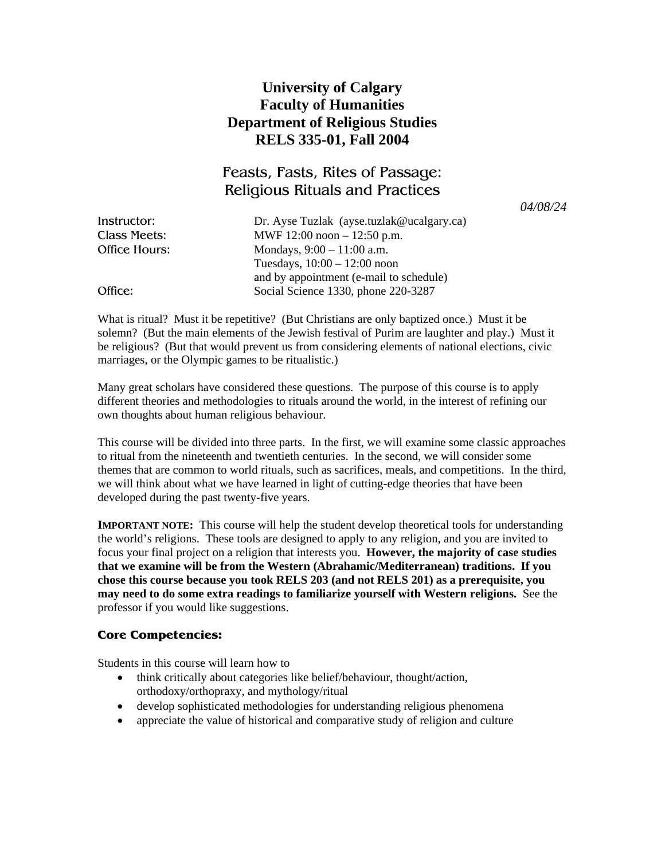## **University of Calgary Faculty of Humanities Department of Religious Studies RELS 335-01, Fall 2004**

# Feasts, Fasts, Rites of Passage: Religious Rituals and Practices

*04/08/24* 

| Instructor:   | Dr. Ayse Tuzlak (ayse.tuzlak@ucalgary.ca) |
|---------------|-------------------------------------------|
| Class Meets:  | MWF 12:00 noon $-12:50$ p.m.              |
| Office Hours: | Mondays, $9:00 - 11:00$ a.m.              |
|               | Tuesdays, $10:00 - 12:00$ noon            |
|               | and by appointment (e-mail to schedule)   |
| Office:       | Social Science 1330, phone 220-3287       |

What is ritual? Must it be repetitive? (But Christians are only baptized once.) Must it be solemn? (But the main elements of the Jewish festival of Purim are laughter and play.) Must it be religious? (But that would prevent us from considering elements of national elections, civic marriages, or the Olympic games to be ritualistic.)

Many great scholars have considered these questions. The purpose of this course is to apply different theories and methodologies to rituals around the world, in the interest of refining our own thoughts about human religious behaviour.

This course will be divided into three parts. In the first, we will examine some classic approaches to ritual from the nineteenth and twentieth centuries. In the second, we will consider some themes that are common to world rituals, such as sacrifices, meals, and competitions. In the third, we will think about what we have learned in light of cutting-edge theories that have been developed during the past twenty-five years.

**IMPORTANT NOTE:** This course will help the student develop theoretical tools for understanding the world's religions. These tools are designed to apply to any religion, and you are invited to focus your final project on a religion that interests you. **However, the majority of case studies that we examine will be from the Western (Abrahamic/Mediterranean) traditions. If you chose this course because you took RELS 203 (and not RELS 201) as a prerequisite, you may need to do some extra readings to familiarize yourself with Western religions.** See the professor if you would like suggestions.

### **Core Competencies:**

Students in this course will learn how to

- think critically about categories like belief/behaviour, thought/action, orthodoxy/orthopraxy, and mythology/ritual
- develop sophisticated methodologies for understanding religious phenomena
- appreciate the value of historical and comparative study of religion and culture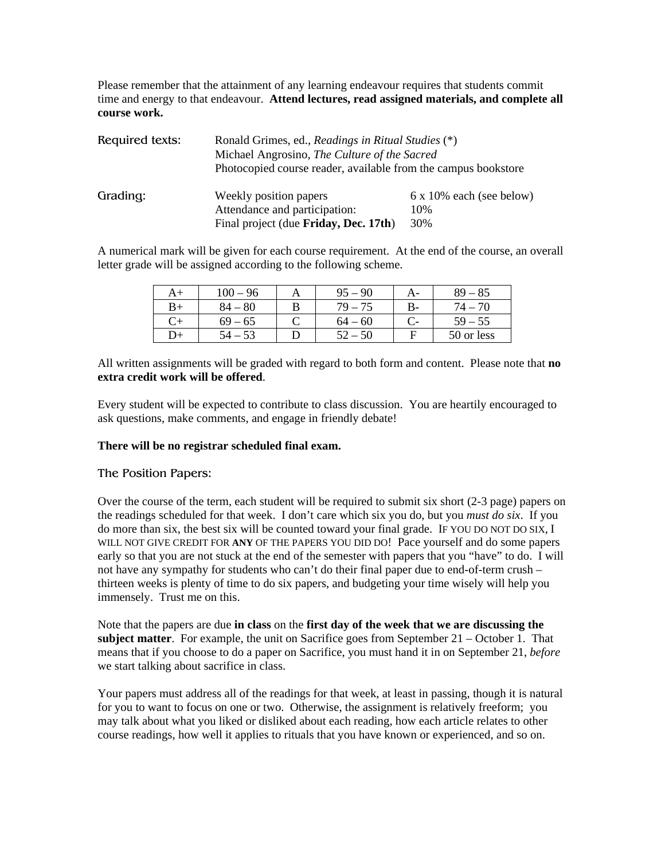Please remember that the attainment of any learning endeavour requires that students commit time and energy to that endeavour. **Attend lectures, read assigned materials, and complete all course work.**

| Required texts: | Ronald Grimes, ed., Readings in Ritual Studies (*)<br>Michael Angrosino, The Culture of the Sacred |                          |  |
|-----------------|----------------------------------------------------------------------------------------------------|--------------------------|--|
|                 |                                                                                                    |                          |  |
|                 | Photocopied course reader, available from the campus bookstore                                     |                          |  |
| Grading:        | Weekly position papers                                                                             | 6 x 10% each (see below) |  |
|                 | Attendance and participation:                                                                      | 10%                      |  |
|                 | Final project (due Friday, Dec. 17th)                                                              | 30%                      |  |

A numerical mark will be given for each course requirement. At the end of the course, an overall letter grade will be assigned according to the following scheme.

|              | $100 - 96$  | 95<br>$-90$ | A- | $89 - 85$  |
|--------------|-------------|-------------|----|------------|
| B+           | -80<br>84 – | $79 - 75$   | B- | 74 – 70    |
| Cэ           | $69-$<br>65 | $64 - 60$   | С- | $59 - 55$  |
| $\mathbf{L}$ |             | $-50$       | F  | 50 or less |

All written assignments will be graded with regard to both form and content. Please note that **no extra credit work will be offered**.

Every student will be expected to contribute to class discussion. You are heartily encouraged to ask questions, make comments, and engage in friendly debate!

#### **There will be no registrar scheduled final exam.**

#### The Position Papers:

Over the course of the term, each student will be required to submit six short (2-3 page) papers on the readings scheduled for that week. I don't care which six you do, but you *must do six*. If you do more than six, the best six will be counted toward your final grade. IF YOU DO NOT DO SIX, I WILL NOT GIVE CREDIT FOR **ANY** OF THE PAPERS YOU DID DO! Pace yourself and do some papers early so that you are not stuck at the end of the semester with papers that you "have" to do. I will not have any sympathy for students who can't do their final paper due to end-of-term crush – thirteen weeks is plenty of time to do six papers, and budgeting your time wisely will help you immensely. Trust me on this.

Note that the papers are due **in class** on the **first day of the week that we are discussing the subject matter**. For example, the unit on Sacrifice goes from September 21 – October 1. That means that if you choose to do a paper on Sacrifice, you must hand it in on September 21, *before* we start talking about sacrifice in class.

Your papers must address all of the readings for that week, at least in passing, though it is natural for you to want to focus on one or two. Otherwise, the assignment is relatively freeform; you may talk about what you liked or disliked about each reading, how each article relates to other course readings, how well it applies to rituals that you have known or experienced, and so on.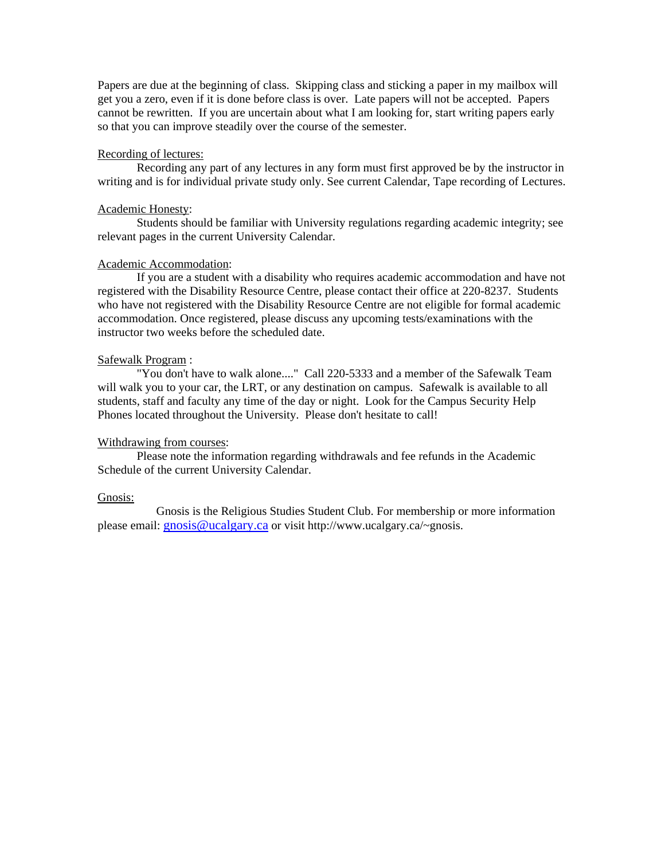Papers are due at the beginning of class. Skipping class and sticking a paper in my mailbox will get you a zero, even if it is done before class is over. Late papers will not be accepted. Papers cannot be rewritten. If you are uncertain about what I am looking for, start writing papers early so that you can improve steadily over the course of the semester.

#### Recording of lectures:

Recording any part of any lectures in any form must first approved be by the instructor in writing and is for individual private study only. See current Calendar, Tape recording of Lectures.

#### Academic Honesty:

Students should be familiar with University regulations regarding academic integrity; see relevant pages in the current University Calendar.

#### Academic Accommodation:

If you are a student with a disability who requires academic accommodation and have not registered with the Disability Resource Centre, please contact their office at 220-8237. Students who have not registered with the Disability Resource Centre are not eligible for formal academic accommodation. Once registered, please discuss any upcoming tests/examinations with the instructor two weeks before the scheduled date.

#### Safewalk Program :

"You don't have to walk alone...." Call 220-5333 and a member of the Safewalk Team will walk you to your car, the LRT, or any destination on campus. Safewalk is available to all students, staff and faculty any time of the day or night. Look for the Campus Security Help Phones located throughout the University. Please don't hesitate to call!

#### Withdrawing from courses:

Please note the information regarding withdrawals and fee refunds in the Academic Schedule of the current University Calendar.

#### Gnosis:

 Gnosis is the Religious Studies Student Club. For membership or more information please email: [gnosis@ucalgary.ca](mailto:gnosis@ucalgary.ca) or visit http://www.ucalgary.ca/~gnosis.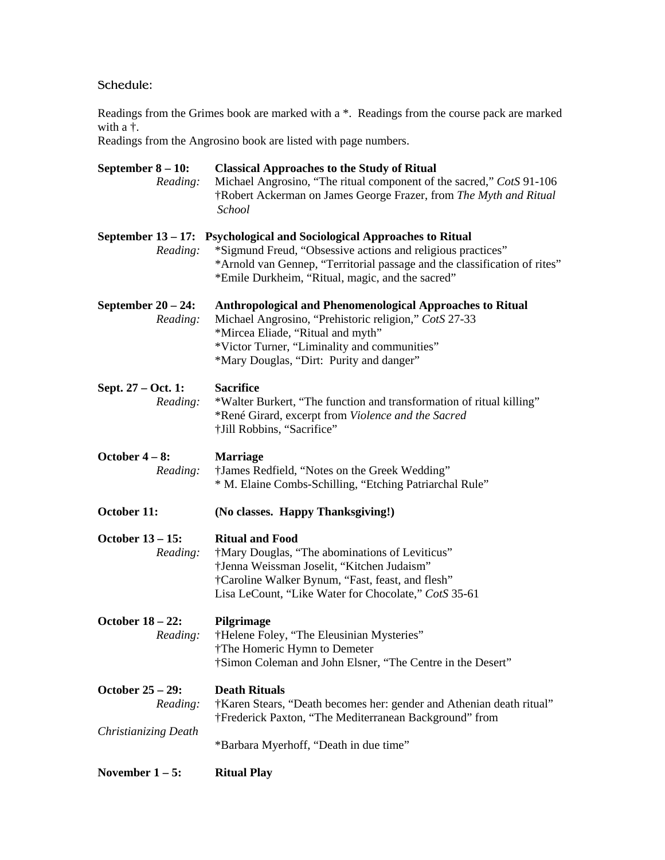### Schedule:

Readings from the Grimes book are marked with a \*. Readings from the course pack are marked with a †.

Readings from the Angrosino book are listed with page numbers.

| September $8 - 10$ :<br>Reading:    | <b>Classical Approaches to the Study of Ritual</b><br>Michael Angrosino, "The ritual component of the sacred," CotS 91-106<br>†Robert Ackerman on James George Frazer, from The Myth and Ritual<br>School                                                              |
|-------------------------------------|------------------------------------------------------------------------------------------------------------------------------------------------------------------------------------------------------------------------------------------------------------------------|
| Reading:                            | September 13 – 17: Psychological and Sociological Approaches to Ritual<br>*Sigmund Freud, "Obsessive actions and religious practices"<br>*Arnold van Gennep, "Territorial passage and the classification of rites"<br>*Emile Durkheim, "Ritual, magic, and the sacred" |
| September $20 - 24$ :<br>Reading:   | Anthropological and Phenomenological Approaches to Ritual<br>Michael Angrosino, "Prehistoric religion," CotS 27-33<br>*Mircea Eliade, "Ritual and myth"<br>*Victor Turner, "Liminality and communities"<br>*Mary Douglas, "Dirt: Purity and danger"                    |
| Sept. 27 – Oct. 1:<br>Reading:      | <b>Sacrifice</b><br>*Walter Burkert, "The function and transformation of ritual killing"<br>*René Girard, excerpt from Violence and the Sacred<br>†Jill Robbins, "Sacrifice"                                                                                           |
| October $4-8$ :<br>Reading:         | <b>Marriage</b><br>†James Redfield, "Notes on the Greek Wedding"<br>* M. Elaine Combs-Schilling, "Etching Patriarchal Rule"                                                                                                                                            |
| October 11:                         | (No classes. Happy Thanksgiving!)                                                                                                                                                                                                                                      |
| <b>October 13 - 15:</b><br>Reading: | <b>Ritual and Food</b><br>†Mary Douglas, "The abominations of Leviticus"<br>†Jenna Weissman Joselit, "Kitchen Judaism"<br>†Caroline Walker Bynum, "Fast, feast, and flesh"<br>Lisa LeCount, "Like Water for Chocolate," CotS 35-61                                     |
| <b>October 18 - 22:</b><br>Reading: | Pilgrimage<br>†Helene Foley, "The Eleusinian Mysteries"<br>†The Homeric Hymn to Demeter<br>†Simon Coleman and John Elsner, "The Centre in the Desert"                                                                                                                  |
| October 25 – 29:<br>Reading:        | <b>Death Rituals</b><br>†Karen Stears, "Death becomes her: gender and Athenian death ritual"<br>†Frederick Paxton, "The Mediterranean Background" from                                                                                                                 |
| Christianizing Death                | *Barbara Myerhoff, "Death in due time"                                                                                                                                                                                                                                 |
| November $1 - 5$ :                  | <b>Ritual Play</b>                                                                                                                                                                                                                                                     |